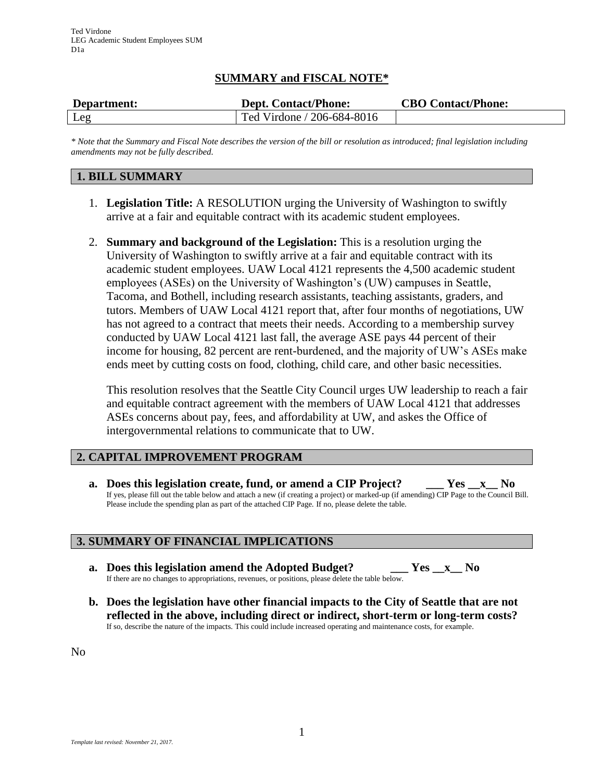# **SUMMARY and FISCAL NOTE\***

| Department: | <b>Dept. Contact/Phone:</b> | <b>CBO Contact/Phone:</b> |
|-------------|-----------------------------|---------------------------|
| Leg         | Ted Virdone / 206-684-8016  |                           |

*\* Note that the Summary and Fiscal Note describes the version of the bill or resolution as introduced; final legislation including amendments may not be fully described.*

## **1. BILL SUMMARY**

- 1. **Legislation Title:** A RESOLUTION urging the University of Washington to swiftly arrive at a fair and equitable contract with its academic student employees.
- 2. **Summary and background of the Legislation:** This is a resolution urging the University of Washington to swiftly arrive at a fair and equitable contract with its academic student employees. UAW Local 4121 represents the 4,500 academic student employees (ASEs) on the University of Washington's (UW) campuses in Seattle, Tacoma, and Bothell, including research assistants, teaching assistants, graders, and tutors. Members of UAW Local 4121 report that, after four months of negotiations, UW has not agreed to a contract that meets their needs. According to a membership survey conducted by UAW Local 4121 last fall, the average ASE pays 44 percent of their income for housing, 82 percent are rent-burdened, and the majority of UW's ASEs make ends meet by cutting costs on food, clothing, child care, and other basic necessities.

This resolution resolves that the Seattle City Council urges UW leadership to reach a fair and equitable contract agreement with the members of UAW Local 4121 that addresses ASEs concerns about pay, fees, and affordability at UW, and askes the Office of intergovernmental relations to communicate that to UW.

### **2. CAPITAL IMPROVEMENT PROGRAM**

**a. Does this legislation create, fund, or amend a CIP Project? \_\_\_ Yes \_\_x\_\_ No** If yes, please fill out the table below and attach a new (if creating a project) or marked-up (if amending) CIP Page to the Council Bill. Please include the spending plan as part of the attached CIP Page. If no, please delete the table.

### **3. SUMMARY OF FINANCIAL IMPLICATIONS**

- **a. Does this legislation amend the Adopted Budget? \_\_\_ Yes \_\_x\_\_ No** If there are no changes to appropriations, revenues, or positions, please delete the table below.
- **b. Does the legislation have other financial impacts to the City of Seattle that are not reflected in the above, including direct or indirect, short-term or long-term costs?** If so, describe the nature of the impacts. This could include increased operating and maintenance costs, for example.

No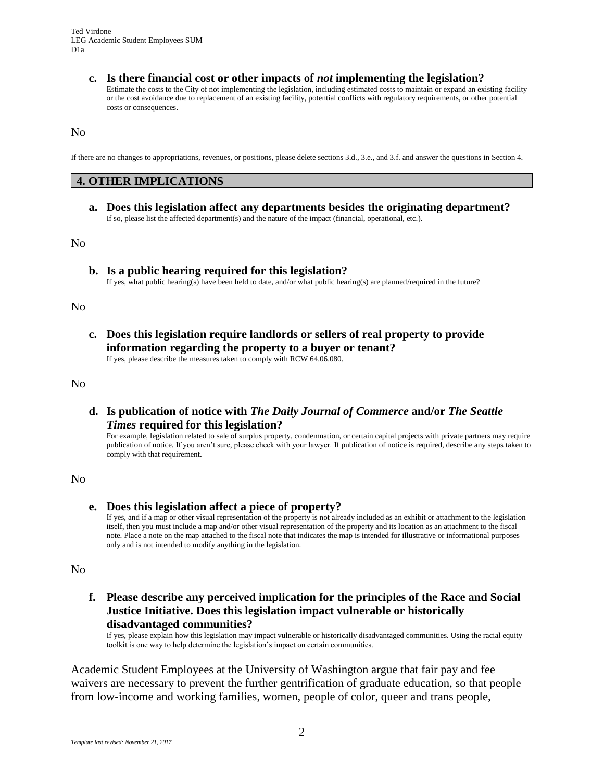**c. Is there financial cost or other impacts of** *not* **implementing the legislation?** Estimate the costs to the City of not implementing the legislation, including estimated costs to maintain or expand an existing facility or the cost avoidance due to replacement of an existing facility, potential conflicts with regulatory requirements, or other potential costs or consequences.

No

If there are no changes to appropriations, revenues, or positions, please delete sections 3.d., 3.e., and 3.f. and answer the questions in Section 4.

#### **4. OTHER IMPLICATIONS**

**a. Does this legislation affect any departments besides the originating department?** If so, please list the affected department(s) and the nature of the impact (financial, operational, etc.).

No

**b. Is a public hearing required for this legislation?**

If yes, what public hearing(s) have been held to date, and/or what public hearing(s) are planned/required in the future?

No

**c. Does this legislation require landlords or sellers of real property to provide information regarding the property to a buyer or tenant?**

If yes, please describe the measures taken to comply with RCW 64.06.080.

No

**d. Is publication of notice with** *The Daily Journal of Commerce* **and/or** *The Seattle Times* **required for this legislation?**

For example, legislation related to sale of surplus property, condemnation, or certain capital projects with private partners may require publication of notice. If you aren't sure, please check with your lawyer. If publication of notice is required, describe any steps taken to comply with that requirement.

No

**e. Does this legislation affect a piece of property?**

If yes, and if a map or other visual representation of the property is not already included as an exhibit or attachment to the legislation itself, then you must include a map and/or other visual representation of the property and its location as an attachment to the fiscal note. Place a note on the map attached to the fiscal note that indicates the map is intended for illustrative or informational purposes only and is not intended to modify anything in the legislation.

No

**f. Please describe any perceived implication for the principles of the Race and Social Justice Initiative. Does this legislation impact vulnerable or historically disadvantaged communities?**

If yes, please explain how this legislation may impact vulnerable or historically disadvantaged communities. Using the racial equity toolkit is one way to help determine the legislation's impact on certain communities.

Academic Student Employees at the University of Washington argue that fair pay and fee waivers are necessary to prevent the further gentrification of graduate education, so that people from low-income and working families, women, people of color, queer and trans people,